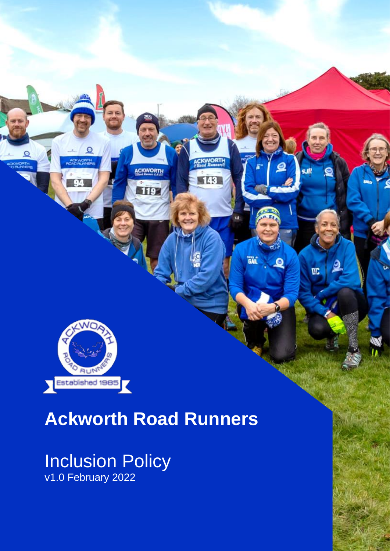

# **Ackworth Road Runners**

**ACKWORTH** 

119

143

**GAL** 

O

œ

Inclusion Policy v1.0 February 2022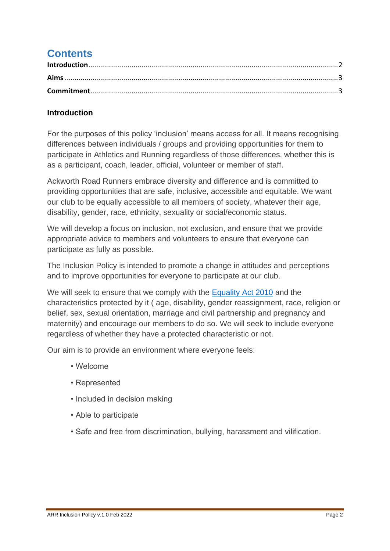# **Contents**

### <span id="page-1-0"></span>**Introduction**

For the purposes of this policy 'inclusion' means access for all. It means recognising differences between individuals / groups and providing opportunities for them to participate in Athletics and Running regardless of those differences, whether this is as a participant, coach, leader, official, volunteer or member of staff.

Ackworth Road Runners embrace diversity and difference and is committed to providing opportunities that are safe, inclusive, accessible and equitable. We want our club to be equally accessible to all members of society, whatever their age, disability, gender, race, ethnicity, sexuality or social/economic status.

We will develop a focus on inclusion, not exclusion, and ensure that we provide appropriate advice to members and volunteers to ensure that everyone can participate as fully as possible.

The Inclusion Policy is intended to promote a change in attitudes and perceptions and to improve opportunities for everyone to participate at our club.

We will seek to ensure that we comply with the [Equality Act 2010](https://www.gov.uk/guidance/equality-act-2010-guidance) and the characteristics protected by it ( age, disability, gender reassignment, race, religion or belief, sex, sexual orientation, marriage and civil partnership and pregnancy and maternity) and encourage our members to do so. We will seek to include everyone regardless of whether they have a protected characteristic or not.

Our aim is to provide an environment where everyone feels:

- Welcome
- Represented
- Included in decision making
- Able to participate
- <span id="page-1-1"></span>• Safe and free from discrimination, bullying, harassment and vilification.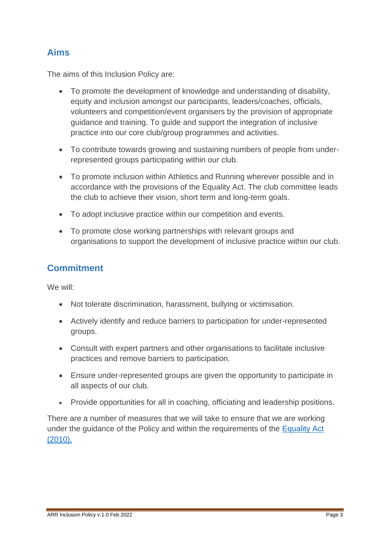# **Aims**

The aims of this Inclusion Policy are:

- To promote the development of knowledge and understanding of disability, equity and inclusion amongst our participants, leaders/coaches, officials, volunteers and competition/event organisers by the provision of appropriate guidance and training. To guide and support the integration of inclusive practice into our core club/group programmes and activities.
- To contribute towards growing and sustaining numbers of people from underrepresented groups participating within our club.
- To promote inclusion within Athletics and Running wherever possible and in accordance with the provisions of the Equality Act. The club committee leads the club to achieve their vision, short term and long-term goals.
- To adopt inclusive practice within our competition and events.
- To promote close working partnerships with relevant groups and organisations to support the development of inclusive practice within our club.

# <span id="page-2-0"></span>**Commitment**

We will:

- Not tolerate discrimination, harassment, bullying or victimisation.
- Actively identify and reduce barriers to participation for under-represented groups.
- Consult with expert partners and other organisations to facilitate inclusive practices and remove barriers to participation.
- Ensure under-represented groups are given the opportunity to participate in all aspects of our club.
- Provide opportunities for all in coaching, officiating and leadership positions.

There are a number of measures that we will take to ensure that we are working under the guidance of the Policy and within the requirements of the [Equality Act](https://www.gov.uk/guidance/equality-act-2010-guidance)  [\(2010\).](https://www.gov.uk/guidance/equality-act-2010-guidance)